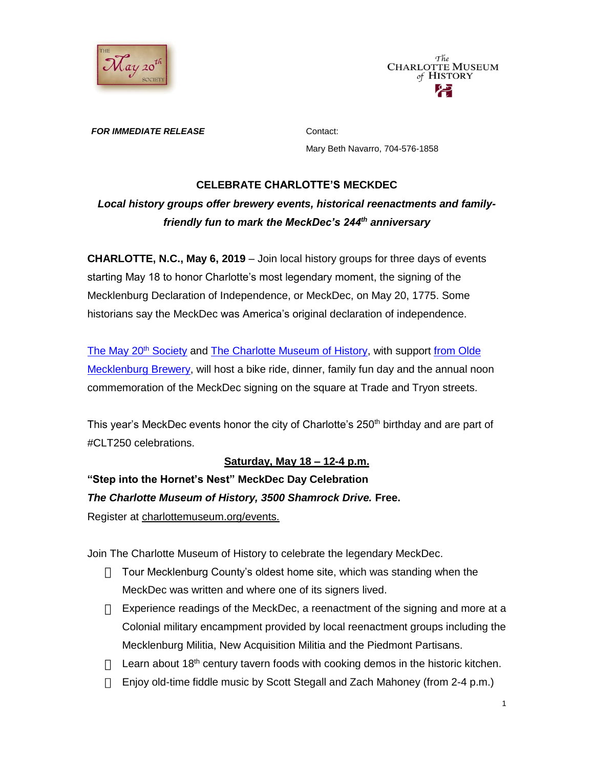



*FOR IMMEDIATE RELEASE* Contact:

Mary Beth Navarro, 704-576-1858

#### **CELEBRATE CHARLOTTE'S MECKDEC**

# *Local history groups offer brewery events, historical reenactments and familyfriendly fun to mark the MeckDec's 244th anniversary*

**CHARLOTTE, N.C., May 6, 2019** – Join local history groups for three days of events starting May 18 to honor Charlotte's most legendary moment, the signing of the Mecklenburg Declaration of Independence, or MeckDec, on May 20, 1775. Some historians say the MeckDec was America's original declaration of independence.

[The May 20](http://may20thsociety.org/)<sup>th</sup> Society and [The Charlotte Museum of History,](http://charlottemuseum.org/tc-events/) with support from Olde [Mecklenburg Brewery,](http://www.oldemeckbrew.com/) will host a bike ride, dinner, family fun day and the annual noon commemoration of the MeckDec signing on the square at Trade and Tryon streets.

This year's MeckDec events honor the city of Charlotte's 250<sup>th</sup> birthday and are part of #CLT250 celebrations.

### **Saturday, May 18 – 12-4 p.m.**

**"Step into the Hornet's Nest" MeckDec Day Celebration** *The Charlotte Museum of History, 3500 Shamrock Drive.* **Free.**  Register at [charlottemuseum.org/events.](http://charlottemuseum.org/tc-events/)

Join The Charlotte Museum of History to celebrate the legendary MeckDec.

- $\Box$  Tour Mecklenburg County's oldest home site, which was standing when the MeckDec was written and where one of its signers lived.
- $\Box$  Experience readings of the MeckDec, a reenactment of the signing and more at a Colonial military encampment provided by local reenactment groups including the Mecklenburg Militia, New Acquisition Militia and the Piedmont Partisans.
- $\Box$  Learn about 18<sup>th</sup> century tavern foods with cooking demos in the historic kitchen.
- Enjoy old-time fiddle music by Scott Stegall and Zach Mahoney (from 2-4 p.m.)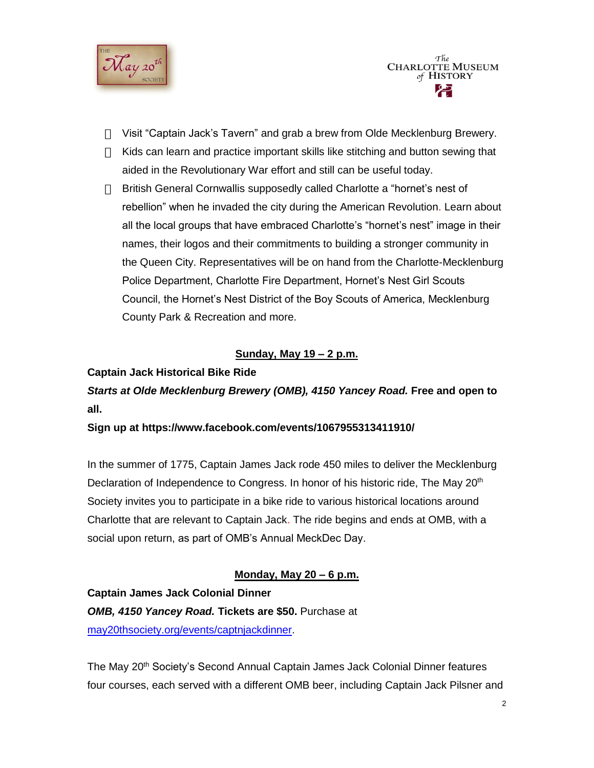

- Visit "Captain Jack's Tavern" and grab a brew from Olde Mecklenburg Brewery.
- $\Box$  Kids can learn and practice important skills like stitching and button sewing that aided in the Revolutionary War effort and still can be useful today.
- British General Cornwallis supposedly called Charlotte a "hornet's nest of rebellion" when he invaded the city during the American Revolution. Learn about all the local groups that have embraced Charlotte's "hornet's nest" image in their names, their logos and their commitments to building a stronger community in the Queen City. Representatives will be on hand from the Charlotte-Mecklenburg Police Department, Charlotte Fire Department, Hornet's Nest Girl Scouts Council, the Hornet's Nest District of the Boy Scouts of America, Mecklenburg County Park & Recreation and more.

## **Sunday, May 19 – 2 p.m.**

## **Captain Jack Historical Bike Ride**

*Starts at Olde Mecklenburg Brewery (OMB), 4150 Yancey Road.* **Free and open to all.**

### **Sign up at https://www.facebook.com/events/1067955313411910/**

In the summer of 1775, Captain James Jack rode 450 miles to deliver the Mecklenburg Declaration of Independence to Congress. In honor of his historic ride, The May 20<sup>th</sup> Society invites you to participate in a bike ride to various historical locations around Charlotte that are relevant to Captain Jack. The ride begins and ends at OMB, with a social upon return, as part of OMB's Annual MeckDec Day.

### **Monday, May 20 – 6 p.m.**

**Captain James Jack Colonial Dinner** *OMB, 4150 Yancey Road.* **Tickets are \$50.** Purchase at [may20thsociety.org/events/captnjackdinner.](http://may20thsociety.org/events/captnjackdinner/)

The May 20<sup>th</sup> Society's Second Annual Captain James Jack Colonial Dinner features four courses, each served with a different OMB beer, including Captain Jack Pilsner and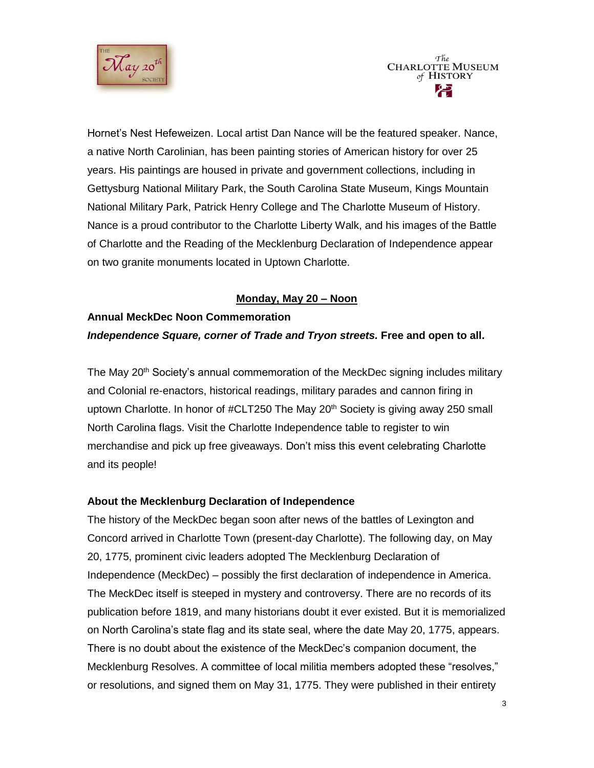



Hornet's Nest Hefeweizen. Local artist Dan Nance will be the featured speaker. Nance, a native North Carolinian, has been painting stories of American history for over 25 years. His paintings are housed in private and government collections, including in Gettysburg National Military Park, the South Carolina State Museum, Kings Mountain National Military Park, Patrick Henry College and The Charlotte Museum of History. Nance is a proud contributor to the Charlotte Liberty Walk, and his images of the Battle of Charlotte and the Reading of the Mecklenburg Declaration of Independence appear on two granite monuments located in Uptown Charlotte.

#### **Monday, May 20 – Noon**

# **Annual MeckDec Noon Commemoration** *Independence Square, corner of Trade and Tryon streets. Free and open to all.*

The May 20<sup>th</sup> Society's annual commemoration of the MeckDec signing includes military and Colonial re-enactors, historical readings, military parades and cannon firing in uptown Charlotte. In honor of #CLT250 The May  $20<sup>th</sup>$  Society is giving away 250 small North Carolina flags. Visit the Charlotte Independence table to register to win merchandise and pick up free giveaways. Don't miss this event celebrating Charlotte and its people!

#### **About the Mecklenburg Declaration of Independence**

The history of the MeckDec began soon after news of the battles of Lexington and Concord arrived in Charlotte Town (present-day Charlotte). The following day, on May 20, 1775, prominent civic leaders adopted The Mecklenburg Declaration of Independence (MeckDec) – possibly the first declaration of independence in America. The MeckDec itself is steeped in mystery and controversy. There are no records of its publication before 1819, and many historians doubt it ever existed. But it is memorialized on North Carolina's state flag and its state seal, where the date May 20, 1775, appears. There is no doubt about the existence of the MeckDec's companion document, the Mecklenburg Resolves. A committee of local militia members adopted these "resolves," or resolutions, and signed them on May 31, 1775. They were published in their entirety